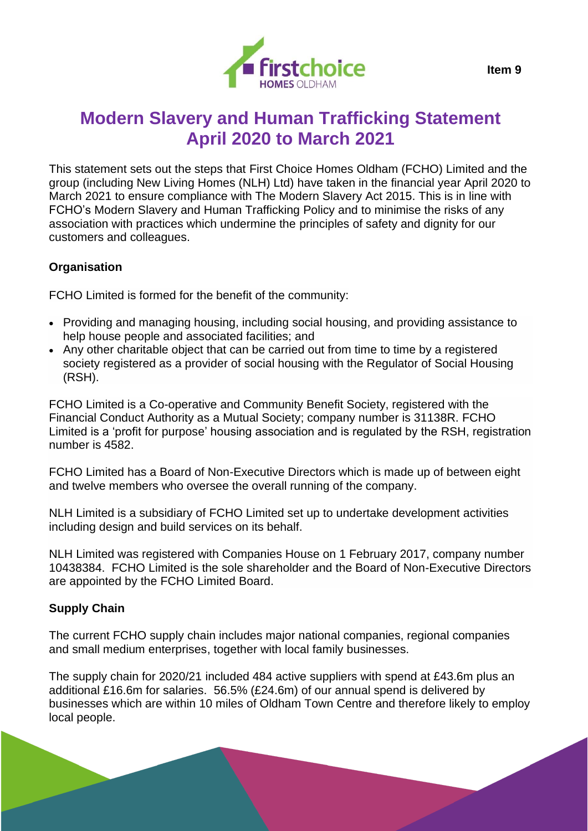

This statement sets out the steps that First Choice Homes Oldham (FCHO) Limited and the group (including New Living Homes (NLH) Ltd) have taken in the financial year April 2020 to March 2021 to ensure compliance with The Modern Slavery Act 2015. This is in line with FCHO's Modern Slavery and Human Trafficking Policy and to minimise the risks of any association with practices which undermine the principles of safety and dignity for our customers and colleagues.

### **Organisation**

FCHO Limited is formed for the benefit of the community:

- Providing and managing housing, including social housing, and providing assistance to help house people and associated facilities; and
- Any other charitable object that can be carried out from time to time by a registered society registered as a provider of social housing with the Regulator of Social Housing (RSH).

FCHO Limited is a Co-operative and Community Benefit Society, registered with the Financial Conduct Authority as a Mutual Society; company number is 31138R. FCHO Limited is a 'profit for purpose' housing association and is regulated by the RSH, registration number is 4582.

FCHO Limited has a Board of Non-Executive Directors which is made up of between eight and twelve members who oversee the overall running of the company.

NLH Limited is a subsidiary of FCHO Limited set up to undertake development activities including design and build services on its behalf.

NLH Limited was registered with Companies House on 1 February 2017, company number 10438384. FCHO Limited is the sole shareholder and the Board of Non-Executive Directors are appointed by the FCHO Limited Board.

## **Supply Chain**

The current FCHO supply chain includes major national companies, regional companies and small medium enterprises, together with local family businesses.

The supply chain for 2020/21 included 484 active suppliers with spend at £43.6m plus an additional £16.6m for salaries. 56.5% (£24.6m) of our annual spend is delivered by businesses which are within 10 miles of Oldham Town Centre and therefore likely to employ local people.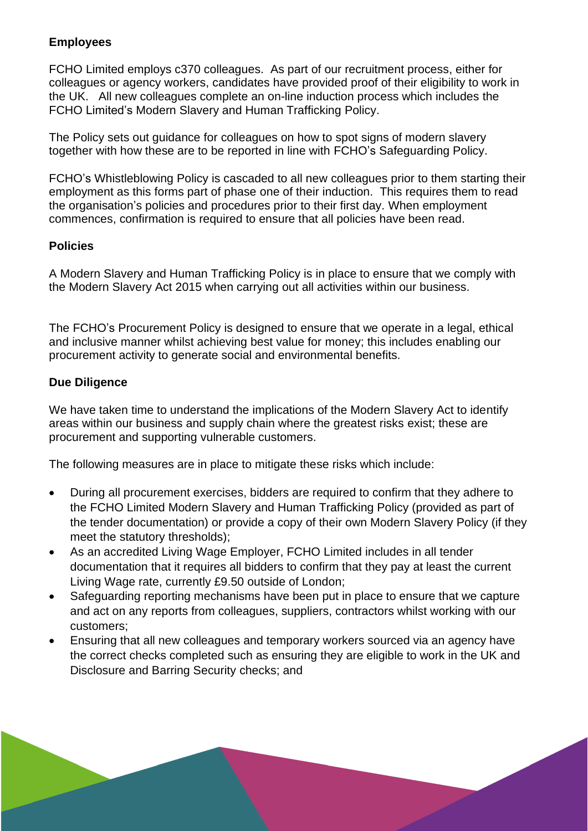## **Employees**

FCHO Limited employs c370 colleagues. As part of our recruitment process, either for colleagues or agency workers, candidates have provided proof of their eligibility to work in the UK. All new colleagues complete an on-line induction process which includes the FCHO Limited's Modern Slavery and Human Trafficking Policy.

The Policy sets out guidance for colleagues on how to spot signs of modern slavery together with how these are to be reported in line with FCHO's Safeguarding Policy.

FCHO's Whistleblowing Policy is cascaded to all new colleagues prior to them starting their employment as this forms part of phase one of their induction. This requires them to read the organisation's policies and procedures prior to their first day. When employment commences, confirmation is required to ensure that all policies have been read.

## **Policies**

A Modern Slavery and Human Trafficking Policy is in place to ensure that we comply with the Modern Slavery Act 2015 when carrying out all activities within our business.

The FCHO's Procurement Policy is designed to ensure that we operate in a legal, ethical and inclusive manner whilst achieving best value for money; this includes enabling our procurement activity to generate social and environmental benefits.

# **Due Diligence**

We have taken time to understand the implications of the Modern Slavery Act to identify areas within our business and supply chain where the greatest risks exist; these are procurement and supporting vulnerable customers.

The following measures are in place to mitigate these risks which include:

- During all procurement exercises, bidders are required to confirm that they adhere to the FCHO Limited Modern Slavery and Human Trafficking Policy (provided as part of the tender documentation) or provide a copy of their own Modern Slavery Policy (if they meet the statutory thresholds);
- As an accredited Living Wage Employer, FCHO Limited includes in all tender documentation that it requires all bidders to confirm that they pay at least the current Living Wage rate, currently £9.50 outside of London;
- Safeguarding reporting mechanisms have been put in place to ensure that we capture and act on any reports from colleagues, suppliers, contractors whilst working with our customers;
- Ensuring that all new colleagues and temporary workers sourced via an agency have the correct checks completed such as ensuring they are eligible to work in the UK and Disclosure and Barring Security checks; and